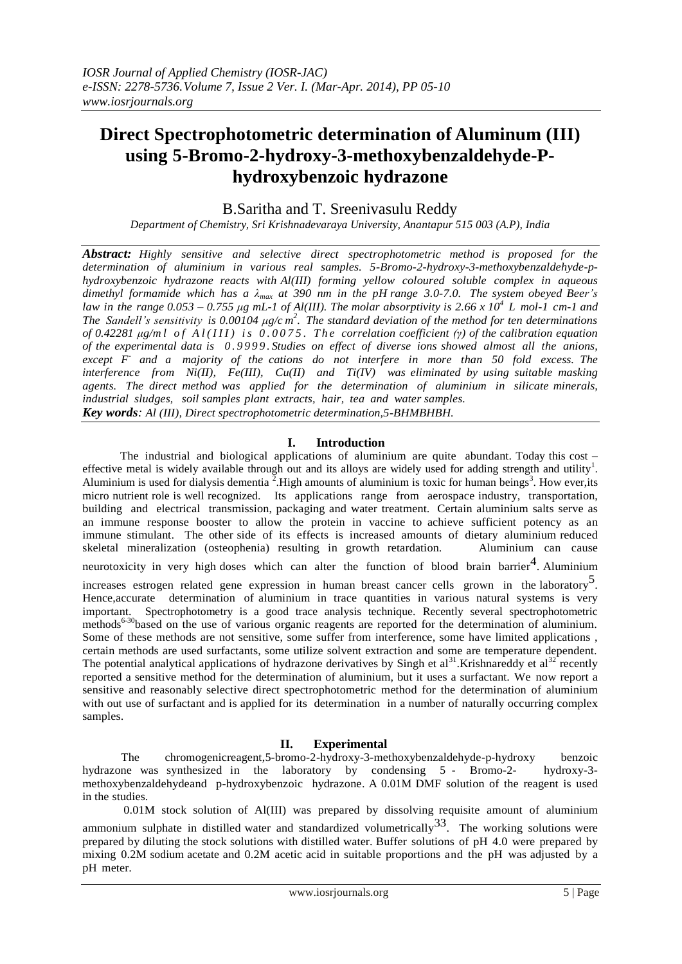# **Direct Spectrophotometric determination of Aluminum (III) using 5-Bromo-2-hydroxy-3-methoxybenzaldehyde-Phydroxybenzoic hydrazone**

B.Saritha and T. Sreenivasulu Reddy

*Department of Chemistry, Sri Krishnadevaraya University, Anantapur 515 003 (A.P), India*

*Abstract: Highly sensitive and selective direct spectrophotometric method is proposed for the determination of aluminium in various real samples. 5-Bromo-2-hydroxy-3-methoxybenzaldehyde-phydroxybenzoic hydrazone reacts with Al(III) forming yellow coloured soluble complex in aqueous* dimethyl formamide which has a  $\lambda_{max}$  at 390 nm in the pH range 3.0-7.0. The system obeyed Beer's law in the range 0.053 – 0.755  $\mu$ g mL-1 of Al(III). The molar absorptivity is 2.66 x 10<sup>4</sup> L mol-1 cm-1 and *The Sandell's sensitivity is 0.00104*  $\mu$ *g/cm<sup>2</sup>. The standard deviation of the method for ten determinations of 0.42281 μg/m l o f A l ( I I I ) i s 0 . 0 0 7 5 . T h e correlation coefficient (γ) of the calibration equation of the experimental data is 0 . 9 9 9 9 . Studies on effect of diverse ions showed almost all the anions, except F - and a majority of the cations do not interfere in more than 50 fold excess. The interference from Ni(II), Fe(III), Cu(II) and Ti(IV) was eliminated by using suitable masking agents. The direct method was applied for the determination of aluminium in silicate minerals, industrial sludges, soil samples plant extracts, hair, tea and water samples. Key words: Al (III), Direct spectrophotometric determination,5-BHMBHBH.*

# **I. Introduction**

 The industrial and biological applications of aluminium are quite abundant. Today this cost – effective metal is widely available through out and its alloys are widely used for adding strength and utility<sup>1</sup>. Aluminium is used for dialysis dementia  $\frac{3}{2}$ . High amounts of aluminium is toxic for human beings<sup>3</sup>. How ever, its micro nutrient role is well recognized. Its applications range from aerospace industry, transportation, building and electrical transmission, packaging and water treatment. Certain aluminium salts serve as an immune response booster to allow the protein in vaccine to achieve sufficient potency as an immune stimulant. The other side of its effects is increased amounts of dietary aluminium reduced skeletal mineralization (osteophenia) resulting in growth retardation. Aluminium can cause neurotoxicity in very high doses which can alter the function of blood brain barrier<sup>4</sup>. Aluminium increases estrogen related gene expression in human breast cancer cells grown in the laboratory<sup>5</sup>. Hence,accurate determination of aluminium in trace quantities in various natural systems is very important. Spectrophotometry is a good trace analysis technique. Recently several spectrophotometric methods<sup>6-30</sup>based on the use of various organic reagents are reported for the determination of aluminium. Some of these methods are not sensitive, some suffer from interference, some have limited applications , certain methods are used surfactants, some utilize solvent extraction and some are temperature dependent. The potential analytical applications of hydrazone derivatives by Singh et al<sup>31</sup>.Krishnareddy et al<sup>32</sup> recently reported a sensitive method for the determination of aluminium, but it uses a surfactant. We now report a sensitive and reasonably selective direct spectrophotometric method for the determination of aluminium with out use of surfactant and is applied for its determination in a number of naturally occurring complex samples.

# **II. Experimental**

 The chromogenicreagent,5-bromo-2-hydroxy-3-methoxybenzaldehyde-p-hydroxy benzoic hydrazone was synthesized in the laboratory by condensing 5 - Bromo-2- hydroxy-3 methoxybenzaldehydeand p-hydroxybenzoic hydrazone. A 0.01M DMF solution of the reagent is used in the studies.

0.01M stock solution of Al(III) was prepared by dissolving requisite amount of aluminium ammonium sulphate in distilled water and standardized volumetrically  $33$ . The working solutions were prepared by diluting the stock solutions with distilled water. Buffer solutions of pH 4.0 were prepared by mixing 0.2M sodium acetate and 0.2M acetic acid in suitable proportions and the pH was adjusted by a pH meter.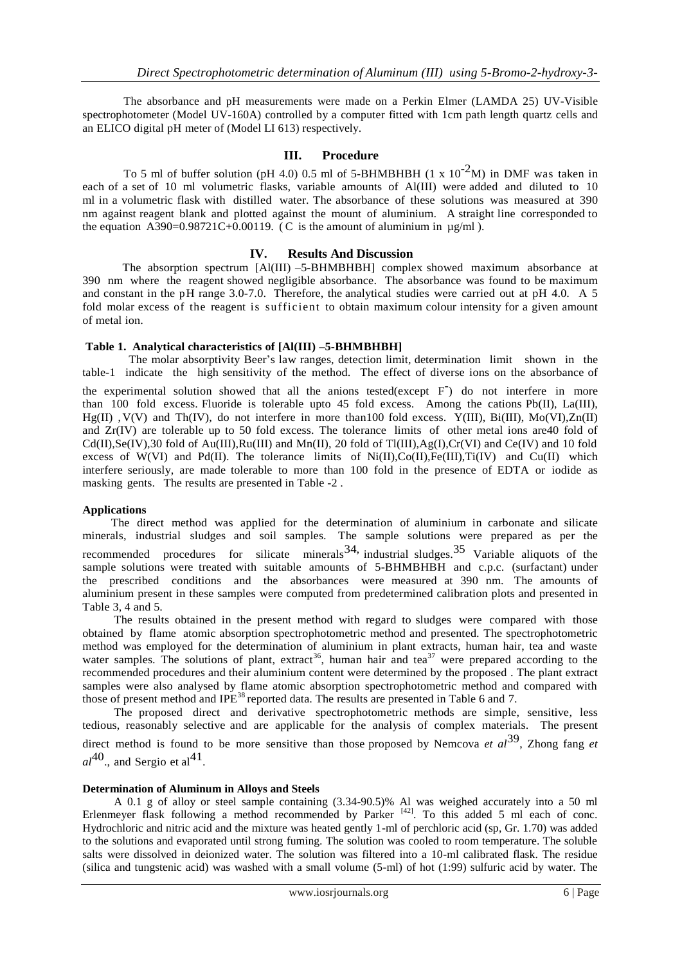The absorbance and pH measurements were made on a Perkin Elmer (LAMDA 25) UV-Visible spectrophotometer (Model UV-160A) controlled by a computer fitted with 1cm path length quartz cells and an ELICO digital pH meter of (Model LI 613) respectively.

# **III. Procedure**

To 5 ml of buffer solution (pH 4.0) 0.5 ml of 5-BHMBHBH (1 x  $10^{-2}$ M) in DMF was taken in each of a set of 10 ml volumetric flasks, variable amounts of Al(III) were added and diluted to 10 ml in a volumetric flask with distilled water. The absorbance of these solutions was measured at 390 nm against reagent blank and plotted against the mount of aluminium. A straight line corresponded to the equation  $\angle$  A390=0.98721C+0.00119. (C is the amount of aluminium in  $\mu$ g/ml).

# **IV. Results And Discussion**

 The absorption spectrum [Al(III) –5-BHMBHBH] complex showed maximum absorbance at 390 nm where the reagent showed negligible absorbance. The absorbance was found to be maximum and constant in the pH range 3.0-7.0. Therefore, the analytical studies were carried out at pH 4.0. A 5 fold molar excess of the reagent is sufficient to obtain maximum colour intensity for a given amount of metal ion.

# **Table 1. Analytical characteristics of [Al(III) –5-BHMBHBH]**

 The molar absorptivity Beer's law ranges, detection limit, determination limit shown in the table-1 indicate the high sensitivity of the method. The effect of diverse ions on the absorbance of the experimental solution showed that all the anions tested(except F) do not interfere in more than 100 fold excess. Fluoride is tolerable upto 45 fold excess. Among the cations  $Pb(II)$ , La(III), Hg(II) ,V(V) and Th(IV), do not interfere in more than100 fold excess. Y(III), Bi(III), Mo(VI),Zn(II) and Zr(IV) are tolerable up to 50 fold excess. The tolerance limits of other metal ions are40 fold of  $Cd(II),Se(IV),30$  fold of Au(III), $Ru(III)$  and Mn(II), 20 fold of Tl(III), $Ag(I),Cr(VI)$  and Ce(IV) and 10 fold excess of W(VI) and Pd(II). The tolerance limits of Ni(II),Co(II),Fe(III),Ti(IV) and Cu(II) which interfere seriously, are made tolerable to more than 100 fold in the presence of EDTA or iodide as masking gents. The results are presented in Table -2 .

# **Applications**

The direct method was applied for the determination of aluminium in carbonate and silicate minerals, industrial sludges and soil samples. The sample solutions were prepared as per the recommended procedures for silicate minerals  $34$ , industrial sludges.  $35$  Variable aliquots of the sample solutions were treated with suitable amounts of 5-BHMBHBH and c.p.c. (surfactant) under the prescribed conditions and the absorbances were measured at 390 nm. The amounts of aluminium present in these samples were computed from predetermined calibration plots and presented in Table 3, 4 and 5.

The results obtained in the present method with regard to sludges were compared with those obtained by flame atomic absorption spectrophotometric method and presented. The spectrophotometric method was employed for the determination of aluminium in plant extracts, human hair, tea and waste water samples. The solutions of plant, extract<sup>36</sup>, human hair and tea<sup>37</sup> were prepared according to the recommended procedures and their aluminium content were determined by the proposed . The plant extract samples were also analysed by flame atomic absorption spectrophotometric method and compared with those of present method and IPE<sup>38</sup> reported data. The results are presented in Table 6 and 7.

The proposed direct and derivative spectrophotometric methods are simple, sensitive, less tedious, reasonably selective and are applicable for the analysis of complex materials. The present direct method is found to be more sensitive than those proposed by Nemcova *et al*<sup>39</sup> , Zhong fang *et*  $al^{40}$ ., and Sergio et al<sup>41</sup>.

## **Determination of Aluminum in Alloys and Steels**

A 0.1 g of alloy or steel sample containing (3.34-90.5)% Al was weighed accurately into a 50 ml Erlenmeyer flask following a method recommended by Parker  $[42]$ . To this added 5 ml each of conc. Hydrochloric and nitric acid and the mixture was heated gently 1-ml of perchloric acid (sp, Gr. 1.70) was added to the solutions and evaporated until strong fuming. The solution was cooled to room temperature. The soluble salts were dissolved in deionized water. The solution was filtered into a 10-ml calibrated flask. The residue (silica and tungstenic acid) was washed with a small volume (5-ml) of hot (1:99) sulfuric acid by water. The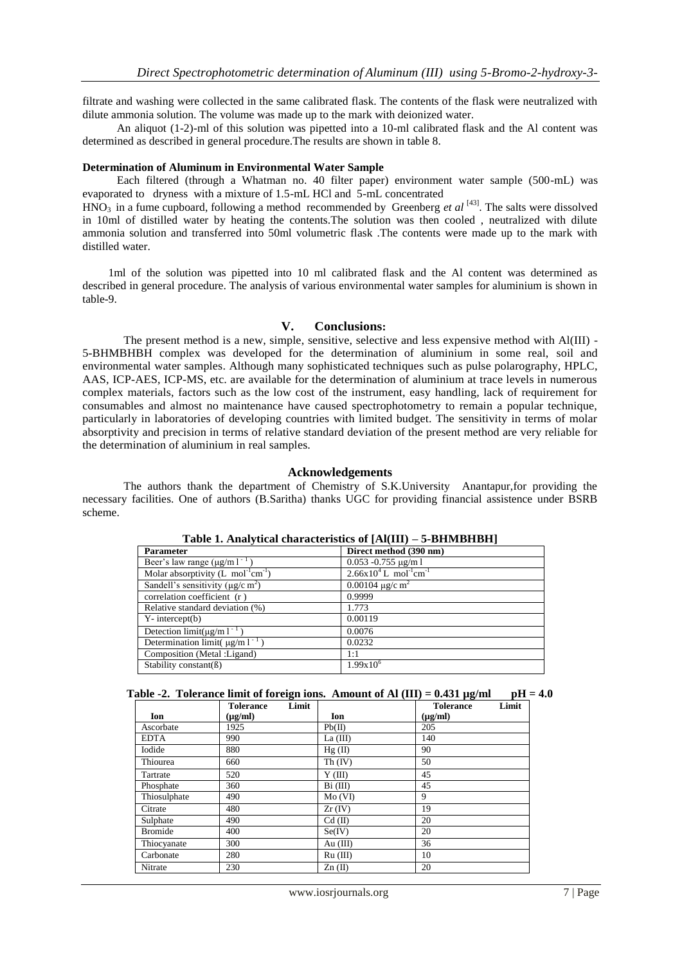filtrate and washing were collected in the same calibrated flask. The contents of the flask were neutralized with dilute ammonia solution. The volume was made up to the mark with deionized water.

 An aliquot (1-2)-ml of this solution was pipetted into a 10-ml calibrated flask and the Al content was determined as described in general procedure.The results are shown in table 8.

## **Determination of Aluminum in Environmental Water Sample**

 Each filtered (through a Whatman no. 40 filter paper) environment water sample (500-mL) was evaporated to dryness with a mixture of 1.5-mL HCl and 5-mL concentrated

 $HNO<sub>3</sub>$  in a fume cupboard, following a method recommended by Greenberg *et al* [43]. The salts were dissolved in 10ml of distilled water by heating the contents.The solution was then cooled , neutralized with dilute ammonia solution and transferred into 50ml volumetric flask .The contents were made up to the mark with distilled water.

 1ml of the solution was pipetted into 10 ml calibrated flask and the Al content was determined as described in general procedure. The analysis of various environmental water samples for aluminium is shown in table-9.

#### **V. Conclusions:**

The present method is a new, simple, sensitive, selective and less expensive method with Al(III) - 5-BHMBHBH complex was developed for the determination of aluminium in some real, soil and environmental water samples. Although many sophisticated techniques such as pulse polarography, HPLC, AAS, ICP-AES, ICP-MS, etc. are available for the determination of aluminium at trace levels in numerous complex materials, factors such as the low cost of the instrument, easy handling, lack of requirement for consumables and almost no maintenance have caused spectrophotometry to remain a popular technique, particularly in laboratories of developing countries with limited budget. The sensitivity in terms of molar absorptivity and precision in terms of relative standard deviation of the present method are very reliable for the determination of aluminium in real samples.

# **Acknowledgements**

The authors thank the department of Chemistry of S.K.University Anantapur,for providing the necessary facilities. One of authors (B.Saritha) thanks UGC for providing financial assistence under BSRB scheme.

| <b>Parameter</b>                                   | Direct method (390 nm)                             |
|----------------------------------------------------|----------------------------------------------------|
| Beer's law range $(\mu g/m l^{-1})$                | $0.053 - 0.755 \text{ µg/m}$ 1                     |
| Molar absorptivity (L $mol^{-1}cm^{-1}$ )          | $2.66x10^{4}$ L mol <sup>-1</sup> cm <sup>-1</sup> |
| Sandell's sensitivity ( $\mu$ g/c m <sup>2</sup> ) | 0.00104 $\mu$ g/c m <sup>2</sup>                   |
| correlation coefficient (r)                        | 0.9999                                             |
| Relative standard deviation (%)                    | 1.773                                              |
| $Y-$ intercept $(b)$                               | 0.00119                                            |
| Detection limit( $\mu$ g/m l <sup>-1</sup>         | 0.0076                                             |
| Determination limit( $\mu$ g/m l <sup>-1</sup>     | 0.0232                                             |
| Composition (Metal :Ligand)                        | 1:1                                                |
| Stability constant( $\beta$ )                      | $1.99x10^{6}$                                      |

**Table 1. Analytical characteristics of [Al(III) – 5-BHMBHBH]**

|  |  | Table -2. Tolerance limit of foreign ions. Amount of Al $(III) = 0.431 \mu g/ml$ | $pH = 4.0$ |
|--|--|----------------------------------------------------------------------------------|------------|
|--|--|----------------------------------------------------------------------------------|------------|

|                | Limit<br><b>Tolerance</b> |            | Limit<br><b>Tolerance</b> |
|----------------|---------------------------|------------|---------------------------|
| Ion            | $(\mu g/ml)$              | Ion        | $(\mu g/ml)$              |
| Ascorbate      | 1925                      | Pb(II)     | 205                       |
| <b>EDTA</b>    | 990                       | La $(III)$ | 140                       |
| Iodide         | 880                       | Hg(II)     | 90                        |
| Thiourea       | 660                       | Th (IV)    | 50                        |
| Tartrate       | 520                       | Y(III)     | 45                        |
| Phosphate      | 360                       | $Bi$ (III) | 45                        |
| Thiosulphate   | 490                       | Mo(VI)     | 9                         |
| Citrate        | 480                       | $Zr$ (IV)  | 19                        |
| Sulphate       | 490                       | $Cd$ (II)  | 20                        |
| <b>Bromide</b> | 400                       | Se(IV)     | 20                        |
| Thiocyanate    | 300                       | Au $(III)$ | 36                        |
| Carbonate      | 280                       | $Ru$ (III) | 10                        |
| Nitrate        | 230                       | $Zn(\Pi)$  | 20                        |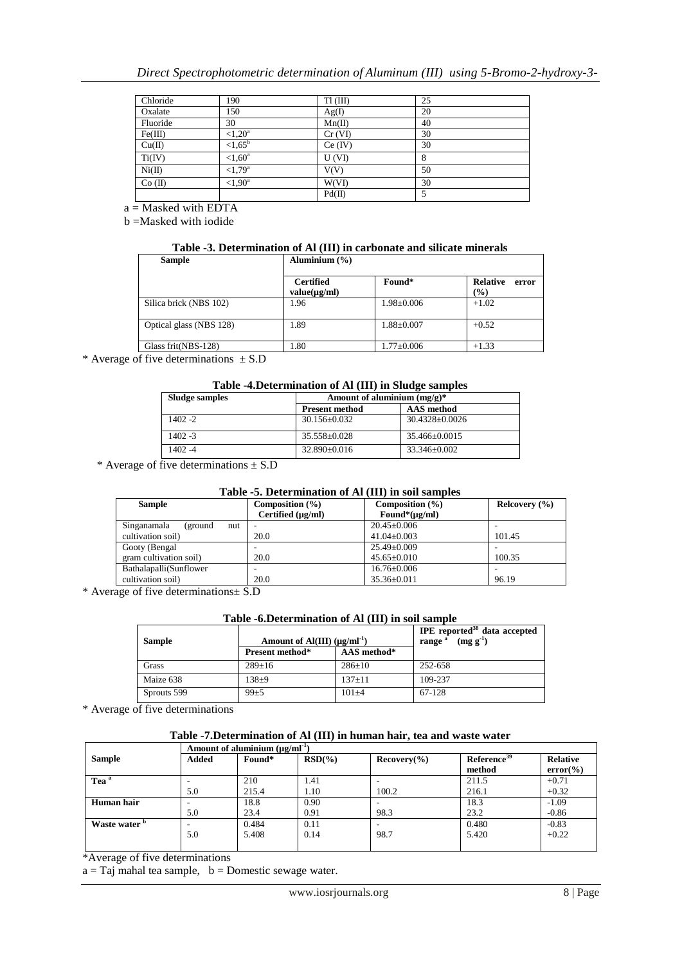| Chloride  | 190               | $T1$ (III) | 25 |
|-----------|-------------------|------------|----|
| Oxalate   | 150               | Ag(I)      | 20 |
| Fluoride  | 30                | Mn(II)     | 40 |
| Fe(III)   | ${<}1.20^a$       | $Cr$ (VI)  | 30 |
| Cu(II)    | ${<}1,65^{\circ}$ | Ce (IV)    | 30 |
| Ti(IV)    | ${<}1,60^a$       | U(VI)      | 8  |
| Ni(II)    | $<1,79^{\circ}$   | V(V)       | 50 |
| $Co$ (II) | ${<}1.90^a$       | W(VI)      | 30 |
|           |                   | Pd(II)     | 5  |

a = Masked with EDTA

b =Masked with iodide

# **Table -3. Determination of Al (III) in carbonate and silicate minerals**

| <b>Sample</b>           | Aluminium $(\% )$ |                  |                          |
|-------------------------|-------------------|------------------|--------------------------|
|                         |                   |                  |                          |
|                         | <b>Certified</b>  | Found*           | <b>Relative</b><br>error |
|                         | value(µg/ml)      |                  | (%)                      |
| Silica brick (NBS 102)  | 1.96              | $1.98 \pm 0.006$ | $+1.02$                  |
| Optical glass (NBS 128) | 1.89              | $1.88 \pm 0.007$ | $+0.52$                  |
| Glass frit(NBS-128)     | 1.80              | $1.77 \pm 0.006$ | $+1.33$                  |

\* Average of five determinations  $\pm$  S.D

# **Table -4.Determination of Al (III) in Sludge samples**

| <b>Sludge samples</b> | Amount of aluminium $(mg/g)^*$ |                     |  |
|-----------------------|--------------------------------|---------------------|--|
|                       | <b>Present method</b>          | <b>AAS</b> method   |  |
| 1402 -2               | $30.156 \pm 0.032$             | $30.4328 + 0.0026$  |  |
| 1402 -3               | $35.558 \pm 0.028$             | $35.466 \pm 0.0015$ |  |
| 1402 -4               | $32.890 \pm 0.016$             | $33.346 + 0.002$    |  |

\* Average of five determinations  $\pm$  S.D

#### **Table -5. Determination of Al (III) in soil samples**

| <b>Sample</b>                  | Composition $(\% )$<br>Certified (µg/ml) | Composition $(\% )$<br>Found* $(\mu g/ml)$ | Releovery $(\% )$ |
|--------------------------------|------------------------------------------|--------------------------------------------|-------------------|
| Singanamala<br>(ground)<br>nut |                                          | $20.45 \pm 0.006$                          |                   |
| cultivation soil)              | 20.0                                     | $41.04 \pm 0.003$                          | 101.45            |
| Gooty (Bengal)                 |                                          | $25.49 \pm 0.009$                          |                   |
| gram cultivation soil)         | 20.0                                     | $45.65 \pm 0.010$                          | 100.35            |
| Bathalapalli(Sunflower         |                                          | $16.76 \pm 0.006$                          |                   |
| cultivation soil)              | 20.0                                     | $35.36 \pm 0.011$                          | 96.19             |

\* Average of five determinations± S.D

## **Table -6.Determination of Al (III) in soil sample**

| <b>Sample</b> | Amount of Al(III) $(\mu g/ml^{-1})$ |              | IPE reported <sup>38</sup> data accepted<br>$(mg g^{-1})$<br>range <sup>a</sup> |
|---------------|-------------------------------------|--------------|---------------------------------------------------------------------------------|
|               | Present method*                     | AAS method*  |                                                                                 |
| Grass         | $289 \pm 16$                        | $286 \pm 10$ | 252-658                                                                         |
| Maize 638     | $138 + 9$                           | $137 + 11$   | 109-237                                                                         |
| Sprouts 599   | $99 + 5$                            | $101 + 4$    | 67-128                                                                          |

\* Average of five determinations

# **Table -7.Determination of Al (III) in human hair, tea and waste water**

|                          | Amount of aluminium $(\mu\gamma/m^{-1})$ |        |           |                          |                         |                 |
|--------------------------|------------------------------------------|--------|-----------|--------------------------|-------------------------|-----------------|
| <b>Sample</b>            | <b>Added</b>                             | Found* | $RSD(\%)$ | Recovery( <sub>0</sub> ) | Reference <sup>39</sup> | <b>Relative</b> |
|                          |                                          |        |           |                          | method                  | $error(\% )$    |
| Tea <sup>a</sup>         |                                          | 210    | 1.41      |                          | 211.5                   | $+0.71$         |
|                          | 5.0                                      | 215.4  | 1.10      | 100.2                    | 216.1                   | $+0.32$         |
| Human hair               |                                          | 18.8   | 0.90      |                          | 18.3                    | $-1.09$         |
|                          | 5.0                                      | 23.4   | 0.91      | 98.3                     | 23.2                    | $-0.86$         |
| Waste water <sup>b</sup> |                                          | 0.484  | 0.11      |                          | 0.480                   | $-0.83$         |
|                          | 5.0                                      | 5.408  | 0.14      | 98.7                     | 5.420                   | $+0.22$         |
|                          |                                          |        |           |                          |                         |                 |

\*Average of five determinations

 $a = Taj$  mahal tea sample,  $b = Domestic$  sewage water.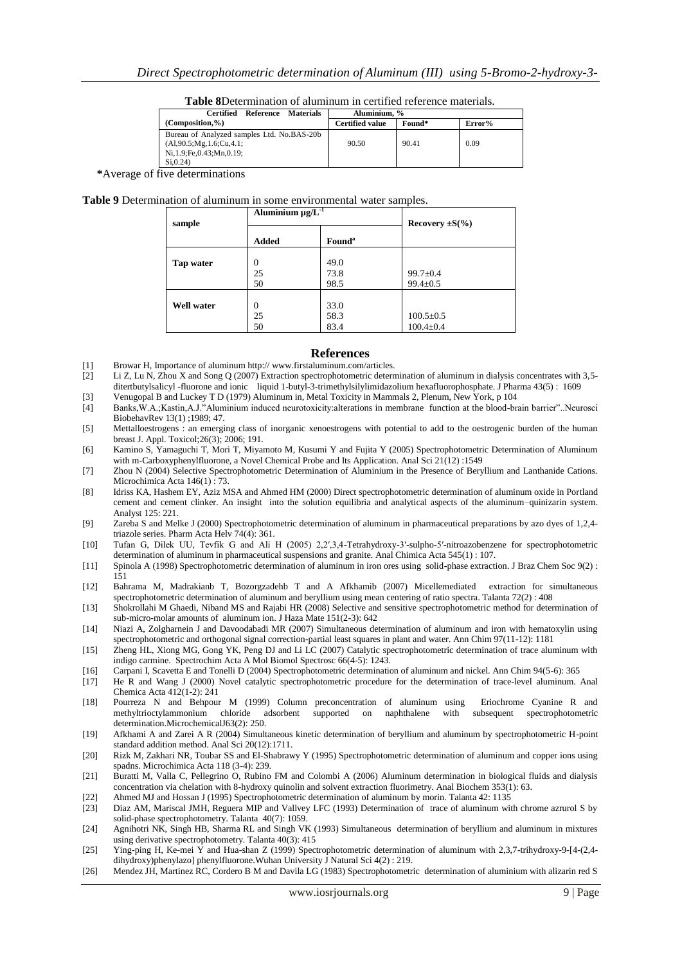| <b>Table 8D</b> etermination of aluminum in certified reference materials. |  |  |  |  |
|----------------------------------------------------------------------------|--|--|--|--|
|----------------------------------------------------------------------------|--|--|--|--|

| Certified<br>Materials<br>Reference        | Aluminium. %           |        |        |
|--------------------------------------------|------------------------|--------|--------|
| $(Composition, \%)$                        | <b>Certified value</b> | Found* | Error% |
| Bureau of Analyzed samples Ltd. No.BAS-20b |                        |        |        |
| (A1,90.5; Mg, 1.6; Cu, 4.1;                | 90.50                  | 90.41  | 0.09   |
| Ni, 1.9; Fe, 0.43; Mn, 0.19;               |                        |        |        |
| Si. 0.24                                   |                        |        |        |

 **\***Average of five determinations

#### **Table 9** Determination of aluminum in some environmental water samples.

| sample            | Aluminium $\mu g/L^{-1}$ |                           | Recovery $\pm S(\% )$              |
|-------------------|--------------------------|---------------------------|------------------------------------|
|                   | Added                    | <b>Found</b> <sup>a</sup> |                                    |
| Tap water         | $\Omega$<br>25<br>50     | 49.0<br>73.8<br>98.5      | $99.7 \pm 0.4$<br>$99.4 \pm 0.5$   |
| <b>Well water</b> | $\Omega$<br>25<br>50     | 33.0<br>58.3<br>83.4      | $100.5 \pm 0.5$<br>$100.4 \pm 0.4$ |

#### **References**

- [1] Browar H, Importance of aluminum http:// www.firstaluminum.com/articles.
- [2] Li Z, Lu N, Zhou X and Song Q (2007) Extraction spectrophotometric determination of aluminum in dialysis concentrates with 3,5 ditertbutylsalicyl -fluorone and ionic liquid 1-butyl-3-trimethylsilylimidazolium hexafluorophosphate. J Pharma 43(5) : 1609
- [3] Venugopal B and Luckey T D (1979) Aluminum in, Metal Toxicity in Mammals 2, Plenum, New York, p 104 [4] Banks,W.A.;Kastin,A.J."Aluminium induced neurotoxicity:alterations in membrane function at the blood-brain barrier"..Neurosci BiobehavRev 13(1) ;1989; 47.
- [5] Mettalloestrogens : an emerging class of inorganic xenoestrogens with potential to add to the oestrogenic burden of the human breast J. Appl. Toxicol;26(3); 2006; 191.
- [6] Kamino S, Yamaguchi T, Mori T, Miyamoto M, Kusumi Y and Fujita Y (2005) Spectrophotometric Determination of Aluminum with m-Carboxyphenylfluorone, a Novel Chemical Probe and Its Application. Anal Sci 21(12) :1549
- [7] Zhou N (2004) Selective Spectrophotometric Determination of Aluminium in the Presence of Beryllium and Lanthanide Cations. Microchimica Acta 146(1) : 73.
- [8] Idriss KA, Hashem EY, Aziz MSA and Ahmed HM (2000) Direct spectrophotometric determination of aluminum oxide in Portland cement and cement clinker. An insight into the solution equilibria and analytical aspects of the aluminum–quinizarin system. Analyst 125: 221.
- [9] Zareba S and Melke J (2000) Spectrophotometric determination of aluminum in pharmaceutical preparations by azo dyes of 1,2,4 triazole series. Pharm Acta Helv 74(4): 361.
- [10] Tufan G, Dilek UU, Tevfik G and Ali H (2005) 2,2′,3,4-Tetrahydroxy-3′-sulpho-5′-nitroazobenzene for spectrophotometric determination of aluminum in pharmaceutical suspensions and granite. Anal Chimica Acta 545(1) : 107.
- [11] Spinola A (1998) Spectrophotometric determination of aluminum in iron ores using solid-phase extraction. J Braz Chem Soc 9(2) : 151
- [12] Bahrama M, Madrakianb T, Bozorgzadehb T and A Afkhamib (2007) Micellemediated extraction for simultaneous spectrophotometric determination of aluminum and beryllium using mean centering of ratio spectra. Talanta 72(2) : 408
- [13] Shokrollahi M Ghaedi, Niband MS and Rajabi HR (2008) Selective and sensitive spectrophotometric method for determination of sub-micro-molar amounts of aluminum ion. J Haza Mate 151(2-3): 642
- [14] Niazi A, Zolgharnein J and Davoodabadi MR (2007) Simultaneous determination of aluminum and iron with hematoxylin using spectrophotometric and orthogonal signal correction-partial least squares in plant and water. Ann Chim 97(11-12): 1181
- [15] Zheng HL, Xiong MG, Gong YK, Peng DJ and Li LC (2007) Catalytic spectrophotometric determination of trace aluminum with indigo carmine. Spectrochim Acta A Mol Biomol Spectrosc 66(4-5): 1243.
- [16] Carpani I, Scavetta E and Tonelli D (2004) Spectrophotometric determination of aluminum and nickel. Ann Chim 94(5-6): 365
- [17] He R and Wang J (2000) Novel catalytic spectrophotometric procedure for the determination of trace-level aluminum. Anal Chemica Acta 412(1-2): 241
- [18] Pourreza N and Behpour M (1999) Column preconcentration of aluminum using Eriochrome Cyanine R and methyltrioctylammonium chloride adsorbent supported on naphthalene with subsequent spectrophotometric determination.MicrochemicalJ63(2): 250.
- [19] Afkhami A and Zarei A R (2004) Simultaneous kinetic determination of beryllium and aluminum by spectrophotometric H-point standard addition method. Anal Sci 20(12):1711.
- [20] Rizk M, Zakhari NR, Toubar SS and El-Shabrawy Y (1995) Spectrophotometric determination of aluminum and copper ions using spadns. Microchimica Acta 118 (3-4): 239.
- [21] Buratti M, Valla C, Pellegrino O, Rubino FM and Colombi A (2006) Aluminum determination in biological fluids and dialysis concentration via chelation with 8-hydroxy quinolin and solvent extraction fluorimetry. Anal Biochem 353(1): 63.
- [22] Ahmed MJ and Hossan J (1995) Spectrophotometric determination of aluminum by morin. Talanta 42: 1135
- [23] Diaz AM, Mariscal JMH, Reguera MIP and Vallvey LFC (1993) Determination of trace of aluminum with chrome azrurol S by solid-phase spectrophotometry. Talanta 40(7): 1059.
- [24] Agnihotri NK, Singh HB, Sharma RL and Singh VK (1993) Simultaneous determination of beryllium and aluminum in mixtures using derivative spectrophotometry. Talanta 40(3): 415
- [25] Ying-ping H, Ke-mei Y and Hua-shan Z (1999) Spectrophotometric determination of aluminum with 2,3,7-trihydroxy-9-[4-(2,4 dihydroxy)phenylazo] phenylfluorone.Wuhan University J Natural Sci 4(2) : 219.
- [26] Mendez JH, Martinez RC, Cordero B M and Davila LG (1983) Spectrophotometric determination of aluminium with alizarin red S